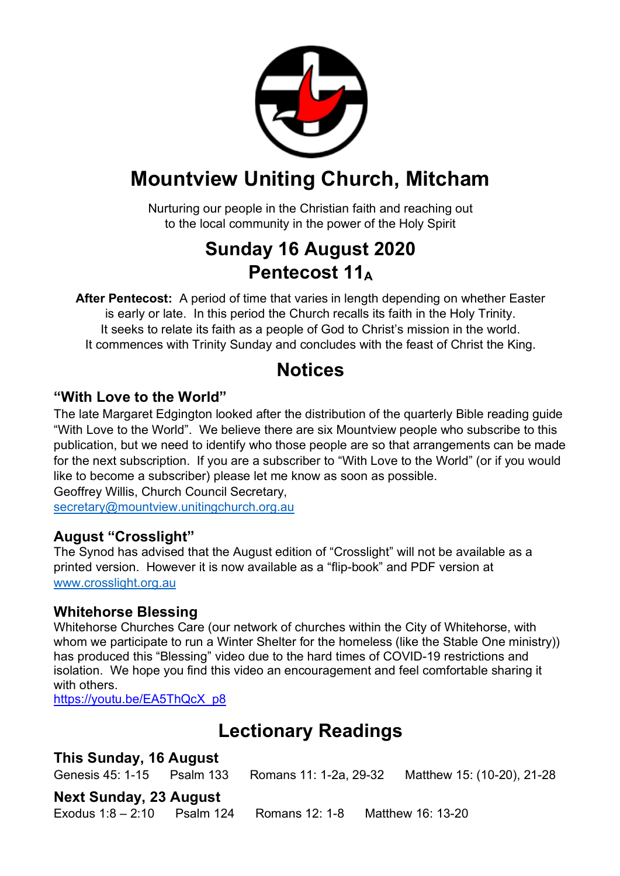

## **Mountview Uniting Church, Mitcham**

Nurturing our people in the Christian faith and reaching out to the local community in the power of the Holy Spirit

## **Sunday 16 August 2020 Pentecost 11A**

**After Pentecost:** A period of time that varies in length depending on whether Easter is early or late. In this period the Church recalls its faith in the Holy Trinity. It seeks to relate its faith as a people of God to Christ's mission in the world. It commences with Trinity Sunday and concludes with the feast of Christ the King.

## **Notices**

#### **"With Love to the World"**

The late Margaret Edgington looked after the distribution of the quarterly Bible reading guide "With Love to the World". We believe there are six Mountview people who subscribe to this publication, but we need to identify who those people are so that arrangements can be made for the next subscription. If you are a subscriber to "With Love to the World" (or if you would like to become a subscriber) please let me know as soon as possible.

Geoffrey Willis, Church Council Secretary, secretary@mountview.unitingchurch.org.au

#### **August "Crosslight"**

The Synod has advised that the August edition of "Crosslight" will not be available as a printed version. However it is now available as a "flip-book" and PDF version at www.crosslight.org.au

#### **Whitehorse Blessing**

Whitehorse Churches Care (our network of churches within the City of Whitehorse, with whom we participate to run a Winter Shelter for the homeless (like the Stable One ministry)) has produced this "Blessing" video due to the hard times of COVID-19 restrictions and isolation. We hope you find this video an encouragement and feel comfortable sharing it with others.

https://youtu.be/EA5ThQcX\_p8

## **Lectionary Readings**

#### **This Sunday, 16 August**

Genesis 45: 1-15 Psalm 133 Romans 11: 1-2a, 29-32 Matthew 15: (10-20), 21-28

#### **Next Sunday, 23 August**

Exodus 1:8 – 2:10 Psalm 124 Romans 12: 1-8 Matthew 16: 13-20